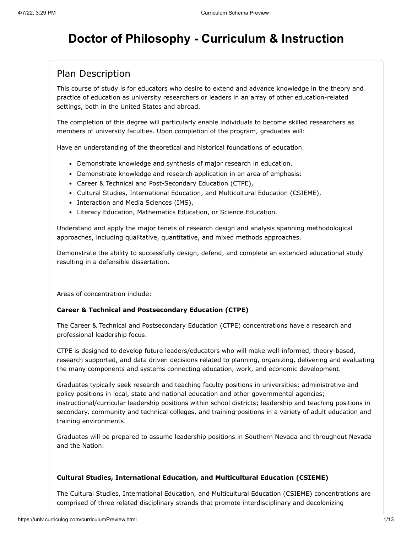# **Doctor of Philosophy - Curriculum & Instruction**

## Plan Description

This course of study is for educators who desire to extend and advance knowledge in the theory and practice of education as university researchers or leaders in an array of other education-related settings, both in the United States and abroad.

The completion of this degree will particularly enable individuals to become skilled researchers as members of university faculties. Upon completion of the program, graduates will:

Have an understanding of the theoretical and historical foundations of education.

- Demonstrate knowledge and synthesis of major research in education.
- Demonstrate knowledge and research application in an area of emphasis:
- Career & Technical and Post-Secondary Education (CTPE),
- Cultural Studies, International Education, and Multicultural Education (CSIEME),
- Interaction and Media Sciences (IMS),
- Literacy Education, Mathematics Education, or Science Education.

Understand and apply the major tenets of research design and analysis spanning methodological approaches, including qualitative, quantitative, and mixed methods approaches.

Demonstrate the ability to successfully design, defend, and complete an extended educational study resulting in a defensible dissertation.

Areas of concentration include:

#### **Career & Technical and Postsecondary Education (CTPE)**

The Career & Technical and Postsecondary Education (CTPE) concentrations have a research and professional leadership focus.

CTPE is designed to develop future leaders/educators who will make well-informed, theory-based, research supported, and data driven decisions related to planning, organizing, delivering and evaluating the many components and systems connecting education, work, and economic development.

Graduates typically seek research and teaching faculty positions in universities; administrative and policy positions in local, state and national education and other governmental agencies; instructional/curricular leadership positions within school districts; leadership and teaching positions in secondary, community and technical colleges, and training positions in a variety of adult education and training environments.

Graduates will be prepared to assume leadership positions in Southern Nevada and throughout Nevada and the Nation.

#### **Cultural Studies, International Education, and Multicultural Education (CSIEME)**

The Cultural Studies, International Education, and Multicultural Education (CSIEME) concentrations are comprised of three related disciplinary strands that promote interdisciplinary and decolonizing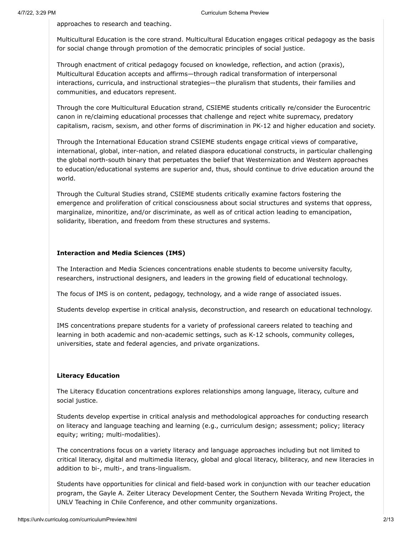approaches to research and teaching.

Multicultural Education is the core strand. Multicultural Education engages critical pedagogy as the basis for social change through promotion of the democratic principles of social justice.

Through enactment of critical pedagogy focused on knowledge, reflection, and action (praxis), Multicultural Education accepts and affirms—through radical transformation of interpersonal interactions, curricula, and instructional strategies—the pluralism that students, their families and communities, and educators represent.

Through the core Multicultural Education strand, CSIEME students critically re/consider the Eurocentric canon in re/claiming educational processes that challenge and reject white supremacy, predatory capitalism, racism, sexism, and other forms of discrimination in PK-12 and higher education and society.

Through the International Education strand CSIEME students engage critical views of comparative, international, global, inter-nation, and related diaspora educational constructs, in particular challenging the global north-south binary that perpetuates the belief that Westernization and Western approaches to education/educational systems are superior and, thus, should continue to drive education around the world.

Through the Cultural Studies strand, CSIEME students critically examine factors fostering the emergence and proliferation of critical consciousness about social structures and systems that oppress, marginalize, minoritize, and/or discriminate, as well as of critical action leading to emancipation, solidarity, liberation, and freedom from these structures and systems.

#### **Interaction and Media Sciences (IMS)**

The Interaction and Media Sciences concentrations enable students to become university faculty, researchers, instructional designers, and leaders in the growing field of educational technology.

The focus of IMS is on content, pedagogy, technology, and a wide range of associated issues.

Students develop expertise in critical analysis, deconstruction, and research on educational technology.

IMS concentrations prepare students for a variety of professional careers related to teaching and learning in both academic and non-academic settings, such as K-12 schools, community colleges, universities, state and federal agencies, and private organizations.

#### **Literacy Education**

The Literacy Education concentrations explores relationships among language, literacy, culture and social justice.

Students develop expertise in critical analysis and methodological approaches for conducting research on literacy and language teaching and learning (e.g., curriculum design; assessment; policy; literacy equity; writing; multi-modalities).

The concentrations focus on a variety literacy and language approaches including but not limited to critical literacy, digital and multimedia literacy, global and glocal literacy, biliteracy, and new literacies in addition to bi-, multi-, and trans-lingualism.

Students have opportunities for clinical and field-based work in conjunction with our teacher education program, the Gayle A. Zeiter Literacy Development Center, the Southern Nevada Writing Project, the UNLV Teaching in Chile Conference, and other community organizations.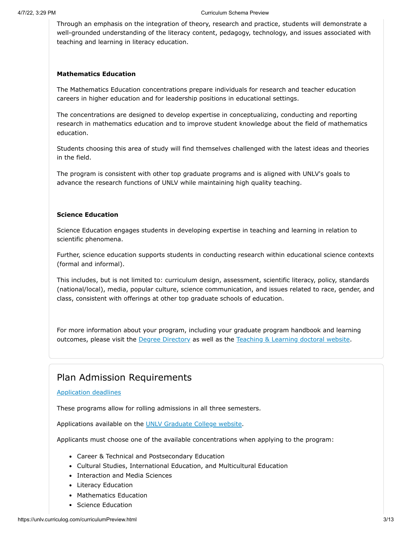Through an emphasis on the integration of theory, research and practice, students will demonstrate a well-grounded understanding of the literacy content, pedagogy, technology, and issues associated with teaching and learning in literacy education.

#### **Mathematics Education**

The Mathematics Education concentrations prepare individuals for research and teacher education careers in higher education and for leadership positions in educational settings.

The concentrations are designed to develop expertise in conceptualizing, conducting and reporting research in mathematics education and to improve student knowledge about the field of mathematics education.

Students choosing this area of study will find themselves challenged with the latest ideas and theories in the field.

The program is consistent with other top graduate programs and is aligned with UNLV's goals to advance the research functions of UNLV while maintaining high quality teaching.

#### **Science Education**

Science Education engages students in developing expertise in teaching and learning in relation to scientific phenomena.

Further, science education supports students in conducting research within educational science contexts (formal and informal).

This includes, but is not limited to: curriculum design, assessment, scientific literacy, policy, standards (national/local), media, popular culture, science communication, and issues related to race, gender, and class, consistent with offerings at other top graduate schools of education.

For more information about your program, including your graduate program handbook and learning outcomes, please visit the [Degree Directory](https://www.unlv.edu/degree/phd-curriculum-instruction) as well as the [Teaching & Learning doctoral website.](http://tldoc.sites.unlv.edu/)

#### Plan Admission Requirements

#### [Application deadlines](https://www.unlv.edu/graduatecollege/application-deadlines)

These programs allow for rolling admissions in all three semesters.

Applications available on the [UNLV Graduate College website.](https://www.unlv.edu/graduatecollege/futurestudents)

Applicants must choose one of the available concentrations when applying to the program:

- Career & Technical and Postsecondary Education
- Cultural Studies, International Education, and Multicultural Education
- Interaction and Media Sciences
- Literacy Education
- Mathematics Education
- Science Education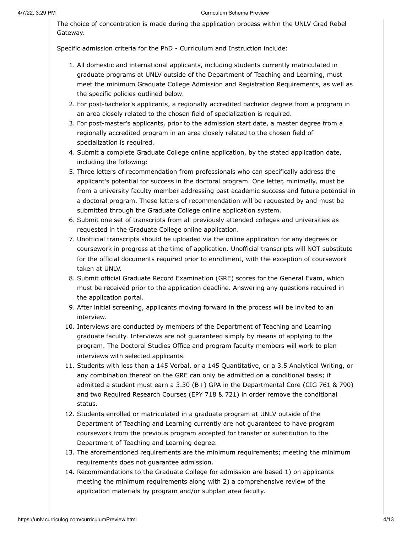The choice of concentration is made during the application process within the UNLV Grad Rebel Gateway.

Specific admission criteria for the PhD - Curriculum and Instruction include:

- 1. All domestic and international applicants, including students currently matriculated in graduate programs at UNLV outside of the Department of Teaching and Learning, must meet the minimum Graduate College Admission and Registration Requirements, as well as the specific policies outlined below.
- 2. For post-bachelor's applicants, a regionally accredited bachelor degree from a program in an area closely related to the chosen field of specialization is required.
- 3. For post-master's applicants, prior to the admission start date, a master degree from a regionally accredited program in an area closely related to the chosen field of specialization is required.
- 4. Submit a complete Graduate College online application, by the stated application date, including the following:
- 5. Three letters of recommendation from professionals who can specifically address the applicant's potential for success in the doctoral program. One letter, minimally, must be from a university faculty member addressing past academic success and future potential in a doctoral program. These letters of recommendation will be requested by and must be submitted through the Graduate College online application system.
- 6. Submit one set of transcripts from all previously attended colleges and universities as requested in the Graduate College online application.
- 7. Unofficial transcripts should be uploaded via the online application for any degrees or coursework in progress at the time of application. Unofficial transcripts will NOT substitute for the official documents required prior to enrollment, with the exception of coursework taken at UNLV.
- 8. Submit official Graduate Record Examination (GRE) scores for the General Exam, which must be received prior to the application deadline. Answering any questions required in the application portal.
- 9. After initial screening, applicants moving forward in the process will be invited to an interview.
- 10. Interviews are conducted by members of the Department of Teaching and Learning graduate faculty. Interviews are not guaranteed simply by means of applying to the program. The Doctoral Studies Office and program faculty members will work to plan interviews with selected applicants.
- 11. Students with less than a 145 Verbal, or a 145 Quantitative, or a 3.5 Analytical Writing, or any combination thereof on the GRE can only be admitted on a conditional basis; if admitted a student must earn a 3.30 (B+) GPA in the Departmental Core (CIG 761 & 790) and two Required Research Courses (EPY 718 & 721) in order remove the conditional status.
- 12. Students enrolled or matriculated in a graduate program at UNLV outside of the Department of Teaching and Learning currently are not guaranteed to have program coursework from the previous program accepted for transfer or substitution to the Department of Teaching and Learning degree.
- 13. The aforementioned requirements are the minimum requirements; meeting the minimum requirements does not guarantee admission.
- 14. Recommendations to the Graduate College for admission are based 1) on applicants meeting the minimum requirements along with 2) a comprehensive review of the application materials by program and/or subplan area faculty.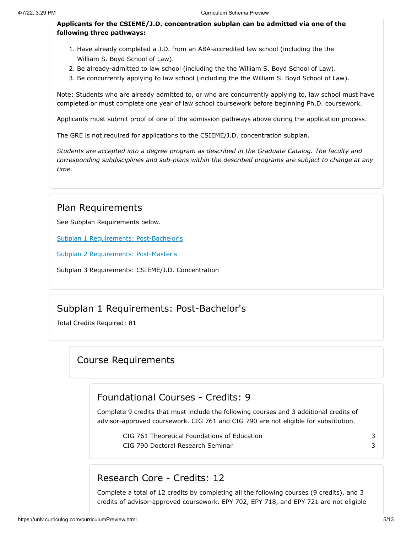#### **Applicants for the CSIEME/J.D. concentration subplan can be admitted via one of the following three pathways:**

- 1. Have already completed a J.D. from an ABA-accredited law school (including the the William S. Boyd School of Law).
- 2. Be already-admitted to law school (including the the William S. Boyd School of Law).
- 3. Be concurrently applying to law school (including the the William S. Boyd School of Law).

Note: Students who are already admitted to, or who are concurrently applying to, law school must have completed or must complete one year of law school coursework before beginning Ph.D. coursework.

Applicants must submit proof of one of the admission pathways above during the application process.

The GRE is not required for applications to the CSIEME/J.D. concentration subplan.

*Students are accepted into a degree program as described in the Graduate Catalog. The faculty and corresponding subdisciplines and sub-plans within the described programs are subject to change at any time.*

#### Plan Requirements

See Subplan Requirements below.

[Subplan 1 Requirements: Post-Bachelor's](#page-4-0)

[Subplan 2 Requirements: Post-Master's](#page-7-0)

Subplan 3 Requirements: CSIEME/J.D. Concentration

## Subplan 1 Requirements: Post-Bachelor's

<span id="page-4-0"></span>Total Credits Required: 81

## Course Requirements

## Foundational Courses - Credits: 9

Complete 9 credits that must include the following courses and 3 additional credits of advisor-approved coursework. CIG 761 and CIG 790 are not eligible for substitution.

CIG 761 Theoretical Foundations of Education 3 CIG 790 Doctoral Research Seminar 3

## Research Core - Credits: 12

Complete a total of 12 credits by completing all the following courses (9 credits), and 3 credits of advisor-approved coursework. EPY 702, EPY 718, and EPY 721 are not eligible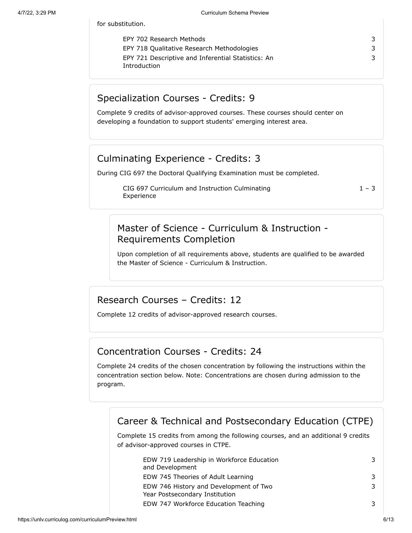for substitution.

| EPY 702 Research Methods                                           |   |
|--------------------------------------------------------------------|---|
| EPY 718 Qualitative Research Methodologies                         | 3 |
| EPY 721 Descriptive and Inferential Statistics: An<br>Introduction | 3 |

## Specialization Courses - Credits: 9

Complete 9 credits of advisor-approved courses. These courses should center on developing a foundation to support students' emerging interest area.

## Culminating Experience - Credits: 3

During CIG 697 the Doctoral Qualifying Examination must be completed.

CIG 697 Curriculum and Instruction Culminating Experience

 $1 - 3$ 

## Master of Science - Curriculum & Instruction - Requirements Completion

Upon completion of all requirements above, students are qualified to be awarded the Master of Science - Curriculum & Instruction.

## Research Courses – Credits: 12

Complete 12 credits of advisor-approved research courses.

## Concentration Courses - Credits: 24

Complete 24 credits of the chosen concentration by following the instructions within the concentration section below. Note: Concentrations are chosen during admission to the program.

# Career & Technical and Postsecondary Education (CTPE)

Complete 15 credits from among the following courses, and an additional 9 credits of advisor-approved courses in CTPE.

| EDW 719 Leadership in Workforce Education<br>and Development             |  |
|--------------------------------------------------------------------------|--|
| EDW 745 Theories of Adult Learning                                       |  |
| EDW 746 History and Development of Two<br>Year Postsecondary Institution |  |
| EDW 747 Workforce Education Teaching                                     |  |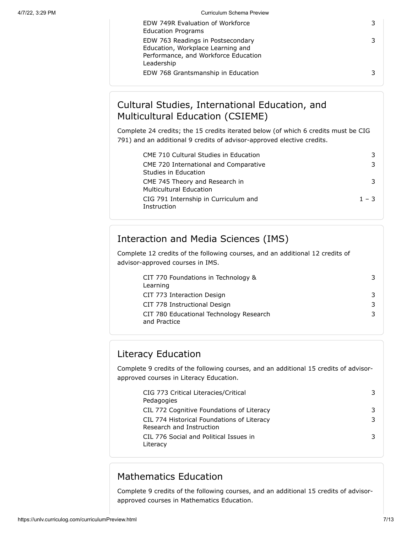| EDW 749R Evaluation of Workforce<br><b>Education Programs</b>                                                                |  |
|------------------------------------------------------------------------------------------------------------------------------|--|
| EDW 763 Readings in Postsecondary<br>Education, Workplace Learning and<br>Performance, and Workforce Education<br>Leadership |  |
| EDW 768 Grantsmanship in Education                                                                                           |  |

## Cultural Studies, International Education, and Multicultural Education (CSIEME)

Complete 24 credits; the 15 credits iterated below (of which 6 credits must be CIG 791) and an additional 9 credits of advisor-approved elective credits.

| <b>CME 710 Cultural Studies in Education</b>                     |         |
|------------------------------------------------------------------|---------|
| CME 720 International and Comparative<br>Studies in Education    |         |
| CME 745 Theory and Research in<br><b>Multicultural Education</b> |         |
| CIG 791 Internship in Curriculum and<br>Instruction              | $1 - 3$ |

## Interaction and Media Sciences (IMS)

Complete 12 credits of the following courses, and an additional 12 credits of advisor-approved courses in IMS.

| CIT 770 Foundations in Technology &                     |    |
|---------------------------------------------------------|----|
| Learning                                                |    |
| CIT 773 Interaction Design                              |    |
| CIT 778 Instructional Design                            |    |
| CIT 780 Educational Technology Research<br>and Practice | 3. |

## Literacy Education

Complete 9 credits of the following courses, and an additional 15 credits of advisorapproved courses in Literacy Education.

| CIG 773 Critical Literacies/Critical<br>Pedagogies                     | 3 |
|------------------------------------------------------------------------|---|
| CIL 772 Cognitive Foundations of Literacy                              | 3 |
| CIL 774 Historical Foundations of Literacy<br>Research and Instruction | 3 |
| CIL 776 Social and Political Issues in<br>Literacy                     |   |

# Mathematics Education

Complete 9 credits of the following courses, and an additional 15 credits of advisorapproved courses in Mathematics Education.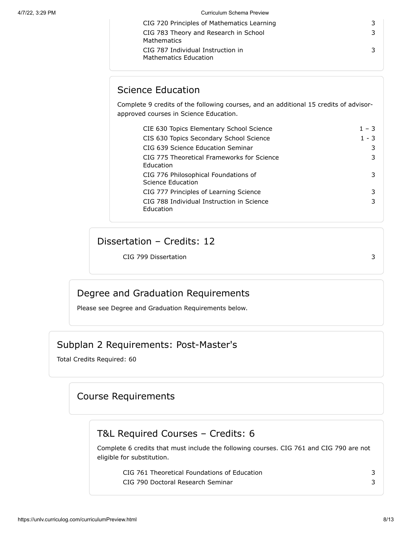| CIG 720 Principles of Mathematics Learning                        | 3. |
|-------------------------------------------------------------------|----|
| CIG 783 Theory and Research in School<br>Mathematics              |    |
| CIG 787 Individual Instruction in<br><b>Mathematics Education</b> |    |

## Science Education

Complete 9 credits of the following courses, and an additional 15 credits of advisorapproved courses in Science Education.

| CIE 630 Topics Elementary School Science                      | $1 - 3$ |
|---------------------------------------------------------------|---------|
| CIS 630 Topics Secondary School Science                       | $1 - 3$ |
| CIG 639 Science Education Seminar                             | 3       |
| CIG 775 Theoretical Frameworks for Science<br>Education       | 3       |
| CIG 776 Philosophical Foundations of<br>Science Education     | 3       |
| CIG 777 Principles of Learning Science                        | 3       |
| CIG 788 Individual Instruction in Science<br><b>Education</b> | 3       |

## Dissertation – Credits: 12

CIG 799 Dissertation 3

## Degree and Graduation Requirements

Please see Degree and Graduation Requirements below.

## Subplan 2 Requirements: Post-Master's

<span id="page-7-0"></span>Total Credits Required: 60

## Course Requirements

## T&L Required Courses – Credits: 6

Complete 6 credits that must include the following courses. CIG 761 and CIG 790 are not eligible for substitution.

| CIG 761 Theoretical Foundations of Education |  |
|----------------------------------------------|--|
| CIG 790 Doctoral Research Seminar            |  |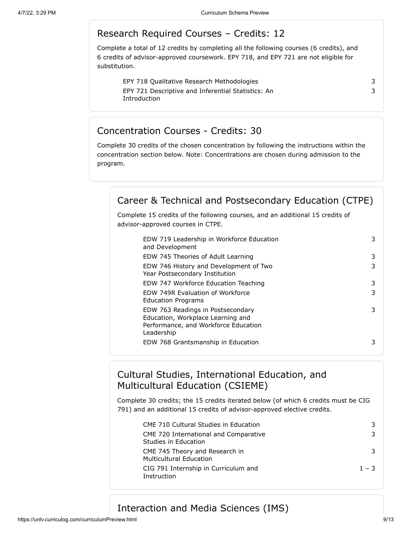## Research Required Courses – Credits: 12

Complete a total of 12 credits by completing all the following courses (6 credits), and 6 credits of advisor-approved coursework. EPY 718, and EPY 721 are not eligible for substitution.

| EPY 718 Qualitative Research Methodologies         |  |
|----------------------------------------------------|--|
| EPY 721 Descriptive and Inferential Statistics: An |  |
| Introduction                                       |  |

# 3

### Concentration Courses - Credits: 30

Complete 30 credits of the chosen concentration by following the instructions within the concentration section below. Note: Concentrations are chosen during admission to the program.

## Career & Technical and Postsecondary Education (CTPE)

Complete 15 credits of the following courses, and an additional 15 credits of advisor-approved courses in CTPE.

| EDW 719 Leadership in Workforce Education<br>and Development                                                                 | 3 |
|------------------------------------------------------------------------------------------------------------------------------|---|
| EDW 745 Theories of Adult Learning                                                                                           | 3 |
| EDW 746 History and Development of Two<br>Year Postsecondary Institution                                                     | 3 |
| EDW 747 Workforce Education Teaching                                                                                         | 3 |
| FDW 749R Evaluation of Workforce<br><b>Education Programs</b>                                                                | 3 |
| EDW 763 Readings in Postsecondary<br>Education, Workplace Learning and<br>Performance, and Workforce Education<br>Leadership | 3 |
| EDW 768 Grantsmanship in Education                                                                                           | 3 |

## Cultural Studies, International Education, and Multicultural Education (CSIEME)

Complete 30 credits; the 15 credits iterated below (of which 6 credits must be CIG 791) and an additional 15 credits of advisor-approved elective credits.

| CME 710 Cultural Studies in Education                            | 3       |
|------------------------------------------------------------------|---------|
| CME 720 International and Comparative<br>Studies in Education    | 3       |
| CME 745 Theory and Research in<br><b>Multicultural Education</b> | 3       |
| CIG 791 Internship in Curriculum and<br>Instruction              | $1 - 3$ |

Interaction and Media Sciences (IMS)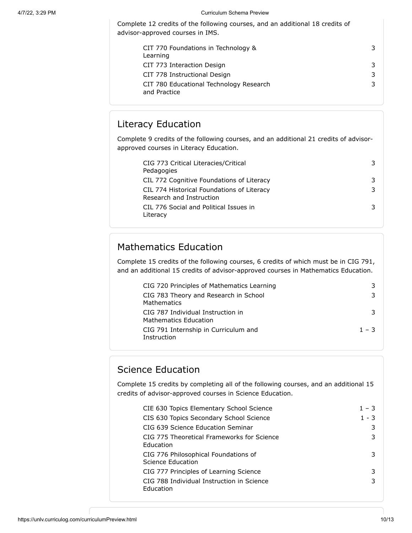Complete 12 credits of the following courses, and an additional 18 credits of advisor-approved courses in IMS.

| CIT 770 Foundations in Technology &<br>Learning         | 3 |
|---------------------------------------------------------|---|
| CIT 773 Interaction Design                              | 3 |
| CIT 778 Instructional Design                            | 3 |
| CIT 780 Educational Technology Research<br>and Practice | 3 |

## Literacy Education

Complete 9 credits of the following courses, and an additional 21 credits of advisorapproved courses in Literacy Education.

| CIG 773 Critical Literacies/Critical                                   |  |
|------------------------------------------------------------------------|--|
| Pedagogies                                                             |  |
| CIL 772 Cognitive Foundations of Literacy                              |  |
| CIL 774 Historical Foundations of Literacy<br>Research and Instruction |  |
| CIL 776 Social and Political Issues in<br>Literacy                     |  |

# Mathematics Education

Complete 15 credits of the following courses, 6 credits of which must be in CIG 791, and an additional 15 credits of advisor-approved courses in Mathematics Education.

| CIG 720 Principles of Mathematics Learning                        |         |
|-------------------------------------------------------------------|---------|
| CIG 783 Theory and Research in School<br>Mathematics              | 3       |
| CIG 787 Individual Instruction in<br><b>Mathematics Education</b> |         |
| CIG 791 Internship in Curriculum and<br>Instruction               | $1 - 3$ |

# Science Education

Complete 15 credits by completing all of the following courses, and an additional 15 credits of advisor-approved courses in Science Education.

| CIE 630 Topics Elementary School Science                  | $1 - 3$ |
|-----------------------------------------------------------|---------|
| CIS 630 Topics Secondary School Science                   | $1 - 3$ |
| CIG 639 Science Education Seminar                         | 3       |
| CIG 775 Theoretical Frameworks for Science<br>Education   | 3       |
| CIG 776 Philosophical Foundations of<br>Science Education | 3       |
| CIG 777 Principles of Learning Science                    | 3       |
| CIG 788 Individual Instruction in Science<br>Education    | 3       |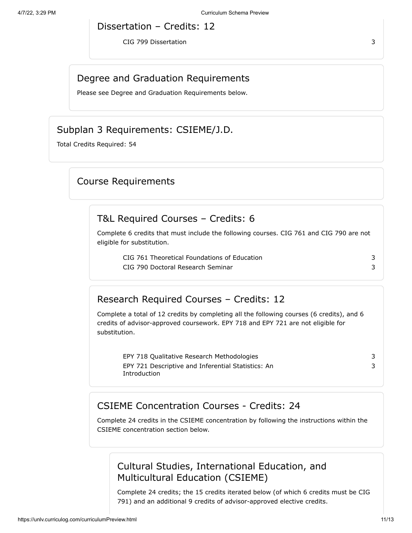Dissertation – Credits: 12

CIG 799 Dissertation 3

## Degree and Graduation Requirements

Please see Degree and Graduation Requirements below.

## Subplan 3 Requirements: CSIEME/J.D.

Total Credits Required: 54

## Course Requirements

### T&L Required Courses – Credits: 6

Complete 6 credits that must include the following courses. CIG 761 and CIG 790 are not eligible for substitution.

CIG 761 Theoretical Foundations of Education 3 CIG 790 Doctoral Research Seminar 3

## Research Required Courses – Credits: 12

Complete a total of 12 credits by completing all the following courses (6 credits), and 6 credits of advisor-approved coursework. EPY 718 and EPY 721 are not eligible for substitution.

| EPY 718 Qualitative Research Methodologies         |  |
|----------------------------------------------------|--|
| EPY 721 Descriptive and Inferential Statistics: An |  |
| Introduction                                       |  |

## CSIEME Concentration Courses - Credits: 24

Complete 24 credits in the CSIEME concentration by following the instructions within the CSIEME concentration section below.

## Cultural Studies, International Education, and Multicultural Education (CSIEME)

Complete 24 credits; the 15 credits iterated below (of which 6 credits must be CIG 791) and an additional 9 credits of advisor-approved elective credits.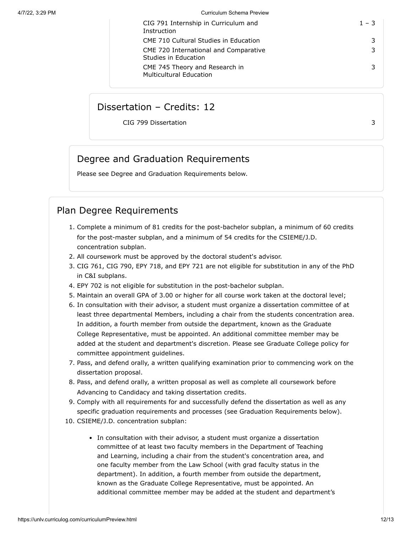| CIG 791 Internship in Curriculum and<br>Instruction              | $1 - 3$ |
|------------------------------------------------------------------|---------|
| CME 710 Cultural Studies in Education                            |         |
| CME 720 International and Comparative<br>Studies in Education    |         |
| CME 745 Theory and Research in<br><b>Multicultural Education</b> |         |

### Dissertation – Credits: 12

CIG 799 Dissertation 3

## Degree and Graduation Requirements

Please see Degree and Graduation Requirements below.

## Plan Degree Requirements

- 1. Complete a minimum of 81 credits for the post-bachelor subplan, a minimum of 60 credits for the post-master subplan, and a minimum of 54 credits for the CSIEME/J.D. concentration subplan.
- 2. All coursework must be approved by the doctoral student's advisor.
- 3. CIG 761, CIG 790, EPY 718, and EPY 721 are not eligible for substitution in any of the PhD in C&I subplans.
- 4. EPY 702 is not eligible for substitution in the post-bachelor subplan.
- 5. Maintain an overall GPA of 3.00 or higher for all course work taken at the doctoral level;
- 6. In consultation with their advisor, a student must organize a dissertation committee of at least three departmental Members, including a chair from the students concentration area. In addition, a fourth member from outside the department, known as the Graduate College Representative, must be appointed. An additional committee member may be added at the student and department's discretion. Please see Graduate College policy for committee appointment guidelines.
- 7. Pass, and defend orally, a written qualifying examination prior to commencing work on the dissertation proposal.
- 8. Pass, and defend orally, a written proposal as well as complete all coursework before Advancing to Candidacy and taking dissertation credits.
- 9. Comply with all requirements for and successfully defend the dissertation as well as any specific graduation requirements and processes (see Graduation Requirements below).
- 10. CSIEME/J.D. concentration subplan:
	- In consultation with their advisor, a student must organize a dissertation committee of at least two faculty members in the Department of Teaching and Learning, including a chair from the student's concentration area, and one faculty member from the Law School (with grad faculty status in the department). In addition, a fourth member from outside the department, known as the Graduate College Representative, must be appointed. An additional committee member may be added at the student and department's